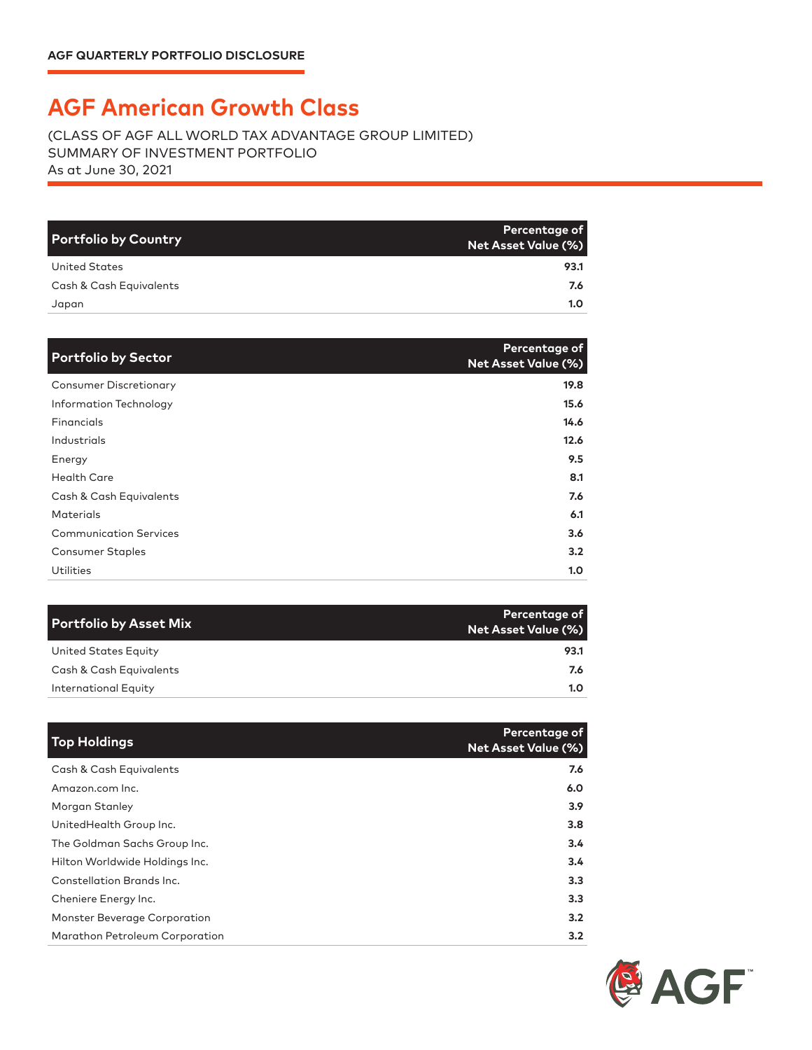## **AGF American Growth Class**

(CLASS OF AGF ALL WORLD TAX ADVANTAGE GROUP LIMITED) SUMMARY OF INVESTMENT PORTFOLIO As at June 30, 2021

| Portfolio by Country    | Percentage of<br>Net Asset Value (%) |
|-------------------------|--------------------------------------|
| United States           | 93.1                                 |
| Cash & Cash Equivalents | 7.6                                  |
| Japan                   | 1.0                                  |

| <b>Portfolio by Sector</b>    | Percentage of<br><b>Net Asset Value (%)</b> |
|-------------------------------|---------------------------------------------|
| <b>Consumer Discretionary</b> | 19.8                                        |
| Information Technology        | 15.6                                        |
| Financials                    | 14.6                                        |
| Industrials                   | 12.6                                        |
| Energy                        | 9.5                                         |
| <b>Health Care</b>            | 8.1                                         |
| Cash & Cash Equivalents       | 7.6                                         |
| <b>Materials</b>              | 6.1                                         |
| <b>Communication Services</b> | 3.6                                         |
| <b>Consumer Staples</b>       | 3.2                                         |
| <b>Utilities</b>              | 1.0                                         |

| <b>Portfolio by Asset Mix</b> | Percentage of<br>Net Asset Value (%) |
|-------------------------------|--------------------------------------|
| United States Equity          | 93.1                                 |
| Cash & Cash Equivalents       | 7.6                                  |
| International Equity          | 1.0                                  |

| <b>Top Holdings</b>            | Percentage of<br><b>Net Asset Value (%)</b> |
|--------------------------------|---------------------------------------------|
| Cash & Cash Equivalents        | 7.6                                         |
| Amazon.com Inc.                | 6.0                                         |
| Morgan Stanley                 | 3.9                                         |
| UnitedHealth Group Inc.        | 3.8                                         |
| The Goldman Sachs Group Inc.   | 3.4                                         |
| Hilton Worldwide Holdings Inc. | 3.4                                         |
| Constellation Brands Inc.      | 3.3                                         |
| Cheniere Energy Inc.           | 3.3                                         |
| Monster Beverage Corporation   | 3.2                                         |
| Marathon Petroleum Corporation | 3.2                                         |